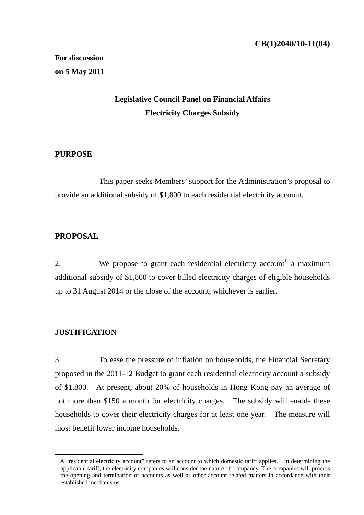# **Legislative Council Panel on Financial Affairs Electricity Charges Subsidy**

## **PURPOSE**

 This paper seeks Members' support for the Administration's proposal to provide an additional subsidy of \$1,800 to each residential electricity account.

# **PROPOSAL**

2. We propose to grant each residential electricity account<sup>1</sup> a maximum additional subsidy of \$1,800 to cover billed electricity charges of eligible households up to 31 August 2014 or the close of the account, whichever is earlier.

# **JUSTIFICATION**

1

3. To ease the pressure of inflation on households, the Financial Secretary proposed in the 2011-12 Budget to grant each residential electricity account a subsidy of \$1,800. At present, about 20% of households in Hong Kong pay an average of not more than \$150 a month for electricity charges. The subsidy will enable these households to cover their electricity charges for at least one year. The measure will most benefit lower income households.

<sup>1</sup> A "residential electricity account" refers to an account to which domestic tariff applies. In determining the applicable tariff, the electricity companies will consider the nature of occupancy. The companies will process the opening and termination of accounts as well as other account related matters in accordance with their established mechanisms.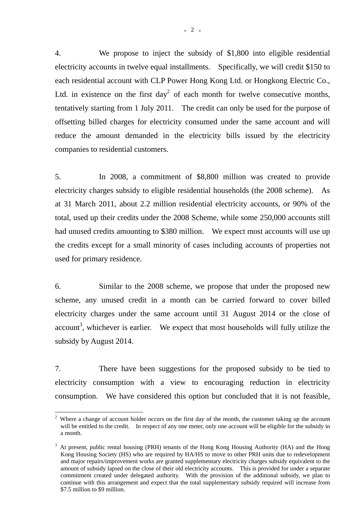4. We propose to inject the subsidy of \$1,800 into eligible residential electricity accounts in twelve equal installments. Specifically, we will credit \$150 to each residential account with CLP Power Hong Kong Ltd. or Hongkong Electric Co., Ltd. in existence on the first day<sup>2</sup> of each month for twelve consecutive months, tentatively starting from 1 July 2011. The credit can only be used for the purpose of offsetting billed charges for electricity consumed under the same account and will reduce the amount demanded in the electricity bills issued by the electricity companies to residential customers.

5. In 2008, a commitment of \$8,800 million was created to provide electricity charges subsidy to eligible residential households (the 2008 scheme). As at 31 March 2011, about 2.2 million residential electricity accounts, or 90% of the total, used up their credits under the 2008 Scheme, while some 250,000 accounts still had unused credits amounting to \$380 million. We expect most accounts will use up the credits except for a small minority of cases including accounts of properties not used for primary residence.

6. Similar to the 2008 scheme, we propose that under the proposed new scheme, any unused credit in a month can be carried forward to cover billed electricity charges under the same account until 31 August 2014 or the close of  $account<sup>3</sup>$ , whichever is earlier. We expect that most households will fully utilize the subsidy by August 2014.

7. There have been suggestions for the proposed subsidy to be tied to electricity consumption with a view to encouraging reduction in electricity consumption. We have considered this option but concluded that it is not feasible,

<sup>&</sup>lt;sup>2</sup> Where a change of account holder occurs on the first day of the month, the customer taking up the account will be entitled to the credit. In respect of any one meter, only one account will be eligible for the subsidy in a month.

<sup>&</sup>lt;sup>3</sup> At present, public rental housing (PRH) tenants of the Hong Kong Housing Authority (HA) and the Hong Kong Housing Society (HS) who are required by HA/HS to move to other PRH units due to redevelopment and major repairs/improvement works are granted supplementary electricity charges subsidy equivalent to the amount of subsidy lapsed on the close of their old electricity accounts. This is provided for under a separate commitment created under delegated authority. With the provision of the additional subsidy, we plan to continue with this arrangement and expect that the total supplementary subsidy required will increase from \$7.5 million to \$9 million.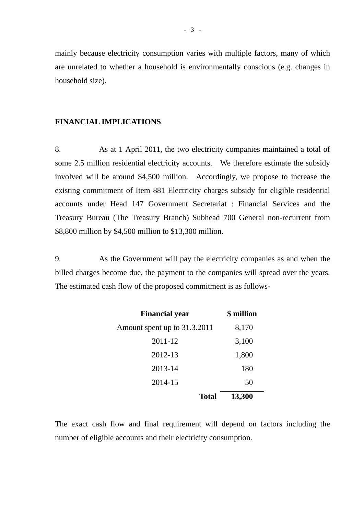mainly because electricity consumption varies with multiple factors, many of which are unrelated to whether a household is environmentally conscious (e.g. changes in household size).

## **FINANCIAL IMPLICATIONS**

8. As at 1 April 2011, the two electricity companies maintained a total of some 2.5 million residential electricity accounts. We therefore estimate the subsidy involved will be around \$4,500 million. Accordingly, we propose to increase the existing commitment of Item 881 Electricity charges subsidy for eligible residential accounts under Head 147 Government Secretariat : Financial Services and the Treasury Bureau (The Treasury Branch) Subhead 700 General non-recurrent from \$8,800 million by \$4,500 million to \$13,300 million.

9. As the Government will pay the electricity companies as and when the billed charges become due, the payment to the companies will spread over the years. The estimated cash flow of the proposed commitment is as follows-

| <b>Financial year</b>        | \$ million |
|------------------------------|------------|
| Amount spent up to 31.3.2011 | 8,170      |
| 2011-12                      | 3,100      |
| 2012-13                      | 1,800      |
| 2013-14                      | 180        |
| 2014-15                      | 50         |
| <b>Total</b>                 | 13,300     |

The exact cash flow and final requirement will depend on factors including the number of eligible accounts and their electricity consumption.